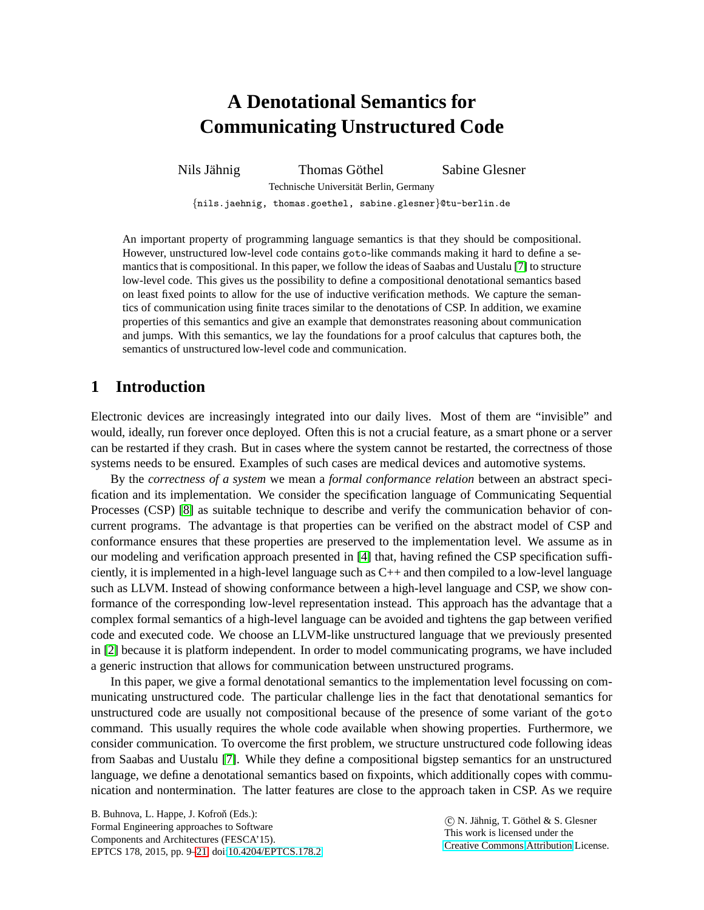# **A Denotational Semantics for Communicating Unstructured Code**

Nils Jähnig Thomas Göthel Sabine Glesner

Technische Universität Berlin, Germany

{nils.jaehnig, thomas.goethel, sabine.glesner}@tu-berlin.de

An important property of programming language semantics is that they should be compositional. However, unstructured low-level code contains goto-like commands making it hard to define a semantics that is compositional. In this paper, we follow the ideas of Saabas and Uustalu [\[7\]](#page-12-1) to structure low-level code. This gives us the possibility to define a compositional denotational semantics based on least fixed points to allow for the use of inductive verification methods. We capture the semantics of communication using finite traces similar to the denotations of CSP. In addition, we examine properties of this semantics and give an example that demonstrates reasoning about communication and jumps. With this semantics, we lay the foundations for a proof calculus that captures both, the semantics of unstructured low-level code and communication.

# **1 Introduction**

Electronic devices are increasingly integrated into our daily lives. Most of them are "invisible" and would, ideally, run forever once deployed. Often this is not a crucial feature, as a smart phone or a server can be restarted if they crash. But in cases where the system cannot be restarted, the correctness of those systems needs to be ensured. Examples of such cases are medical devices and automotive systems.

By the *correctness of a system* we mean a *formal conformance relation* between an abstract specification and its implementation. We consider the specification language of Communicating Sequential Processes (CSP) [\[8\]](#page-12-2) as suitable technique to describe and verify the communication behavior of concurrent programs. The advantage is that properties can be verified on the abstract model of CSP and conformance ensures that these properties are preserved to the implementation level. We assume as in our modeling and verification approach presented in [\[4\]](#page-12-3) that, having refined the CSP specification sufficiently, it is implemented in a high-level language such as  $C_{++}$  and then compiled to a low-level language such as LLVM. Instead of showing conformance between a high-level language and CSP, we show conformance of the corresponding low-level representation instead. This approach has the advantage that a complex formal semantics of a high-level language can be avoided and tightens the gap between verified code and executed code. We choose an LLVM-like unstructured language that we previously presented in [\[2\]](#page-11-0) because it is platform independent. In order to model communicating programs, we have included a generic instruction that allows for communication between unstructured programs.

In this paper, we give a formal denotational semantics to the implementation level focussing on communicating unstructured code. The particular challenge lies in the fact that denotational semantics for unstructured code are usually not compositional because of the presence of some variant of the goto command. This usually requires the whole code available when showing properties. Furthermore, we consider communication. To overcome the first problem, we structure unstructured code following ideas from Saabas and Uustalu [\[7\]](#page-12-1). While they define a compositional bigstep semantics for an unstructured language, we define a denotational semantics based on fixpoints, which additionally copes with communication and nontermination. The latter features are close to the approach taken in CSP. As we require

B. Buhnova, L. Happe, J. Kofroň (Eds.): Formal Engineering approaches to Software Components and Architectures (FESCA'15). EPTCS 178, 2015, pp. 9[–21,](#page-12-0) doi[:10.4204/EPTCS.178.2](http://dx.doi.org/10.4204/EPTCS.178.2)

 c N. J¨ahnig, T. G¨othel & S. Glesner This work is licensed under the [Creative Commons](http://creativecommons.org) [Attribution](http://creativecommons.org/licenses/by/3.0/) License.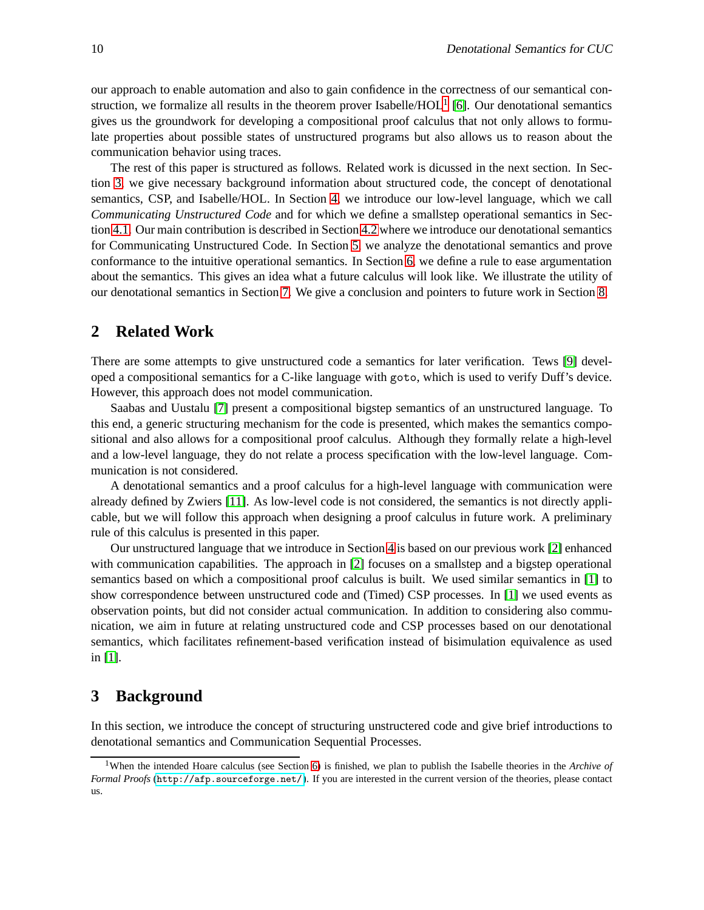our approach to enable automation and also to gain confidence in the correctness of our semantical construction, we formalize all results in the theorem prover Isabelle/ $HOL<sup>1</sup>$  $HOL<sup>1</sup>$  $HOL<sup>1</sup>$  [\[6\]](#page-12-4). Our denotational semantics gives us the groundwork for developing a compositional proof calculus that not only allows to formulate properties about possible states of unstructured programs but also allows us to reason about the communication behavior using traces.

The rest of this paper is structured as follows. Related work is dicussed in the next section. In Section [3,](#page-1-1) we give necessary background information about structured code, the concept of denotational semantics, CSP, and Isabelle/HOL. In Section [4,](#page-3-0) we introduce our low-level language, which we call *Communicating Unstructured Code* and for which we define a smallstep operational semantics in Section [4.1.](#page-4-0) Our main contribution is described in Section [4.2](#page-5-0) where we introduce our denotational semantics for Communicating Unstructured Code. In Section [5,](#page-7-0) we analyze the denotational semantics and prove conformance to the intuitive operational semantics. In Section [6,](#page-9-0) we define a rule to ease argumentation about the semantics. This gives an idea what a future calculus will look like. We illustrate the utility of our denotational semantics in Section [7.](#page-9-1) We give a conclusion and pointers to future work in Section [8.](#page-11-1)

## **2 Related Work**

There are some attempts to give unstructured code a semantics for later verification. Tews [\[9\]](#page-12-5) developed a compositional semantics for a C-like language with goto, which is used to verify Duff's device. However, this approach does not model communication.

Saabas and Uustalu [\[7\]](#page-12-1) present a compositional bigstep semantics of an unstructured language. To this end, a generic structuring mechanism for the code is presented, which makes the semantics compositional and also allows for a compositional proof calculus. Although they formally relate a high-level and a low-level language, they do not relate a process specification with the low-level language. Communication is not considered.

A denotational semantics and a proof calculus for a high-level language with communication were already defined by Zwiers [\[11\]](#page-12-6). As low-level code is not considered, the semantics is not directly applicable, but we will follow this approach when designing a proof calculus in future work. A preliminary rule of this calculus is presented in this paper.

Our unstructured language that we introduce in Section [4](#page-3-0) is based on our previous work [\[2\]](#page-11-0) enhanced with communication capabilities. The approach in [\[2\]](#page-11-0) focuses on a smallstep and a bigstep operational semantics based on which a compositional proof calculus is built. We used similar semantics in [\[1\]](#page-11-2) to show correspondence between unstructured code and (Timed) CSP processes. In [\[1\]](#page-11-2) we used events as observation points, but did not consider actual communication. In addition to considering also communication, we aim in future at relating unstructured code and CSP processes based on our denotational semantics, which facilitates refinement-based verification instead of bisimulation equivalence as used in [\[1\]](#page-11-2).

## <span id="page-1-1"></span>**3 Background**

In this section, we introduce the concept of structuring unstructered code and give brief introductions to denotational semantics and Communication Sequential Processes.

<span id="page-1-0"></span><sup>1</sup>When the intended Hoare calculus (see Section [6\)](#page-9-0) is finished, we plan to publish the Isabelle theories in the *Archive of Formal Proofs* (<http://afp.sourceforge.net/>). If you are interested in the current version of the theories, please contact us.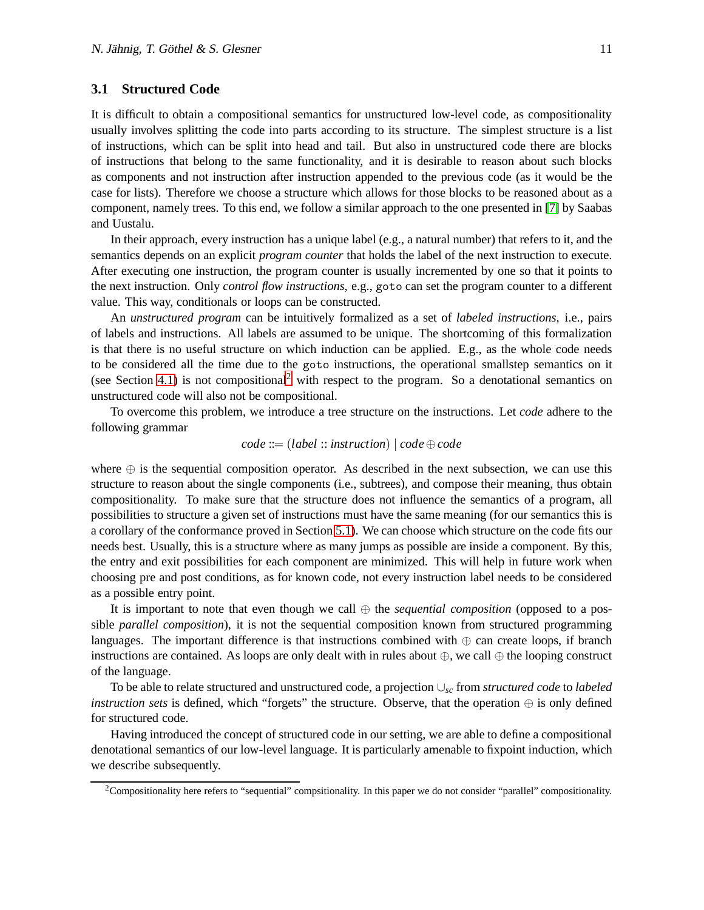### <span id="page-2-1"></span>**3.1 Structured Code**

It is difficult to obtain a compositional semantics for unstructured low-level code, as compositionality usually involves splitting the code into parts according to its structure. The simplest structure is a list of instructions, which can be split into head and tail. But also in unstructured code there are blocks of instructions that belong to the same functionality, and it is desirable to reason about such blocks as components and not instruction after instruction appended to the previous code (as it would be the case for lists). Therefore we choose a structure which allows for those blocks to be reasoned about as a component, namely trees. To this end, we follow a similar approach to the one presented in [\[7\]](#page-12-1) by Saabas and Uustalu.

In their approach, every instruction has a unique label (e.g., a natural number) that refers to it, and the semantics depends on an explicit *program counter* that holds the label of the next instruction to execute. After executing one instruction, the program counter is usually incremented by one so that it points to the next instruction. Only *control flow instructions*, e.g., goto can set the program counter to a different value. This way, conditionals or loops can be constructed.

An *unstructured program* can be intuitively formalized as a set of *labeled instructions*, i.e., pairs of labels and instructions. All labels are assumed to be unique. The shortcoming of this formalization is that there is no useful structure on which induction can be applied. E.g., as the whole code needs to be considered all the time due to the goto instructions, the operational smallstep semantics on it (see Section [4.1\)](#page-4-0) is not compositional<sup>[2](#page-2-0)</sup> with respect to the program. So a denotational semantics on unstructured code will also not be compositional.

To overcome this problem, we introduce a tree structure on the instructions. Let *code* adhere to the following grammar

$$
code ::= (label :: instruction) | code \oplus code
$$

where  $\oplus$  is the sequential composition operator. As described in the next subsection, we can use this structure to reason about the single components (i.e., subtrees), and compose their meaning, thus obtain compositionality. To make sure that the structure does not influence the semantics of a program, all possibilities to structure a given set of instructions must have the same meaning (for our semantics this is a corollary of the conformance proved in Section [5.1\)](#page-7-1). We can choose which structure on the code fits our needs best. Usually, this is a structure where as many jumps as possible are inside a component. By this, the entry and exit possibilities for each component are minimized. This will help in future work when choosing pre and post conditions, as for known code, not every instruction label needs to be considered as a possible entry point.

It is important to note that even though we call ⊕ the *sequential composition* (opposed to a possible *parallel composition*), it is not the sequential composition known from structured programming languages. The important difference is that instructions combined with  $\oplus$  can create loops, if branch instructions are contained. As loops are only dealt with in rules about  $\oplus$ , we call  $\oplus$  the looping construct of the language.

To be able to relate structured and unstructured code, a projection ∪*sc* from *structured code* to *labeled instruction sets* is defined, which "forgets" the structure. Observe, that the operation ⊕ is only defined for structured code.

Having introduced the concept of structured code in our setting, we are able to define a compositional denotational semantics of our low-level language. It is particularly amenable to fixpoint induction, which we describe subsequently.

<span id="page-2-0"></span><sup>2</sup>Compositionality here refers to "sequential" compsitionality. In this paper we do not consider "parallel" compositionality.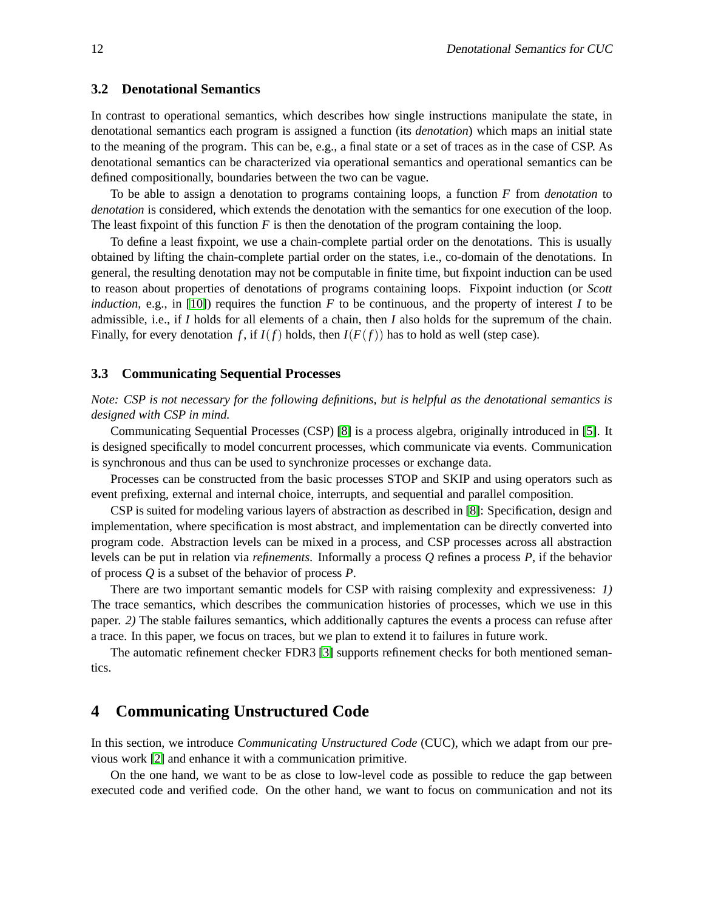#### <span id="page-3-1"></span>**3.2 Denotational Semantics**

In contrast to operational semantics, which describes how single instructions manipulate the state, in denotational semantics each program is assigned a function (its *denotation*) which maps an initial state to the meaning of the program. This can be, e.g., a final state or a set of traces as in the case of CSP. As denotational semantics can be characterized via operational semantics and operational semantics can be defined compositionally, boundaries between the two can be vague.

To be able to assign a denotation to programs containing loops, a function *F* from *denotation* to *denotation* is considered, which extends the denotation with the semantics for one execution of the loop. The least fixpoint of this function *F* is then the denotation of the program containing the loop.

To define a least fixpoint, we use a chain-complete partial order on the denotations. This is usually obtained by lifting the chain-complete partial order on the states, i.e., co-domain of the denotations. In general, the resulting denotation may not be computable in finite time, but fixpoint induction can be used to reason about properties of denotations of programs containing loops. Fixpoint induction (or *Scott induction*, e.g., in [\[10\]](#page-12-7)) requires the function  $F$  to be continuous, and the property of interest  $I$  to be admissible, i.e., if *I* holds for all elements of a chain, then *I* also holds for the supremum of the chain. Finally, for every denotation *f*, if  $I(f)$  holds, then  $I(F(f))$  has to hold as well (step case).

### **3.3 Communicating Sequential Processes**

*Note: CSP is not necessary for the following definitions, but is helpful as the denotational semantics is designed with CSP in mind.*

Communicating Sequential Processes (CSP) [\[8\]](#page-12-2) is a process algebra, originally introduced in [\[5\]](#page-12-8). It is designed specifically to model concurrent processes, which communicate via events. Communication is synchronous and thus can be used to synchronize processes or exchange data.

Processes can be constructed from the basic processes STOP and SKIP and using operators such as event prefixing, external and internal choice, interrupts, and sequential and parallel composition.

CSP is suited for modeling various layers of abstraction as described in [\[8\]](#page-12-2): Specification, design and implementation, where specification is most abstract, and implementation can be directly converted into program code. Abstraction levels can be mixed in a process, and CSP processes across all abstraction levels can be put in relation via *refinements*. Informally a process *Q* refines a process *P*, if the behavior of process *Q* is a subset of the behavior of process *P*.

There are two important semantic models for CSP with raising complexity and expressiveness: *1)* The trace semantics, which describes the communication histories of processes, which we use in this paper. *2)* The stable failures semantics, which additionally captures the events a process can refuse after a trace. In this paper, we focus on traces, but we plan to extend it to failures in future work.

The automatic refinement checker FDR3 [\[3\]](#page-12-9) supports refinement checks for both mentioned semantics.

## <span id="page-3-0"></span>**4 Communicating Unstructured Code**

In this section, we introduce *Communicating Unstructured Code* (CUC), which we adapt from our previous work [\[2\]](#page-11-0) and enhance it with a communication primitive.

On the one hand, we want to be as close to low-level code as possible to reduce the gap between executed code and verified code. On the other hand, we want to focus on communication and not its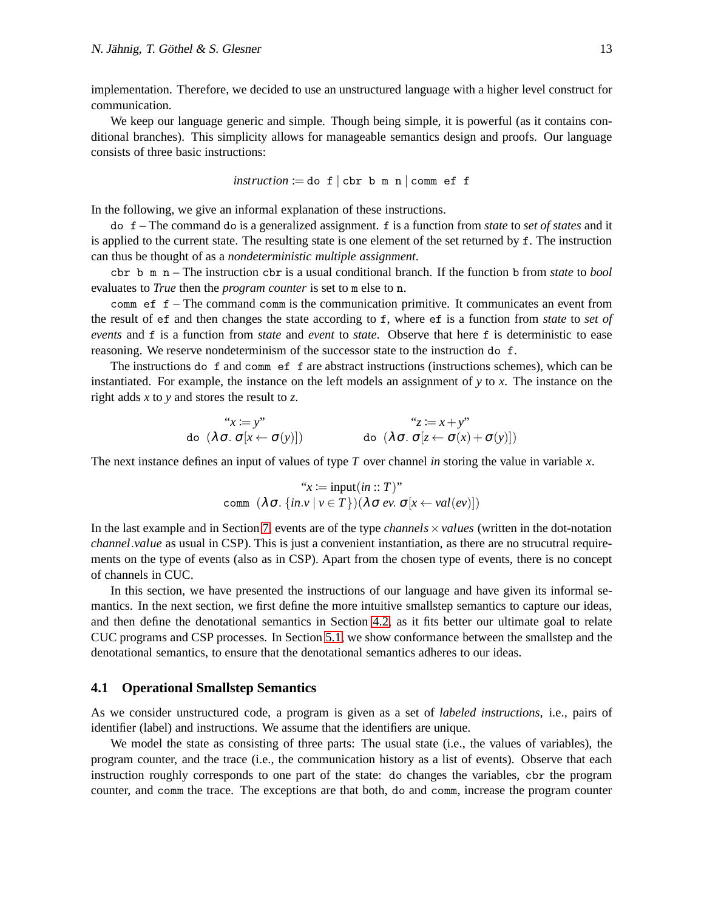implementation. Therefore, we decided to use an unstructured language with a higher level construct for communication.

We keep our language generic and simple. Though being simple, it is powerful (as it contains conditional branches). This simplicity allows for manageable semantics design and proofs. Our language consists of three basic instructions:

$$
instruction := do f | cbr b m n | comm ef f
$$

In the following, we give an informal explanation of these instructions.

do f – The command do is a generalized assignment. f is a function from *state* to *set of states* and it is applied to the current state. The resulting state is one element of the set returned by f. The instruction can thus be thought of as a *nondeterministic multiple assignment*.

cbr b m n – The instruction cbr is a usual conditional branch. If the function b from *state* to *bool* evaluates to *True* then the *program counter* is set to m else to n.

comm ef f – The command comm is the communication primitive. It communicates an event from the result of ef and then changes the state according to f, where ef is a function from *state* to *set of events* and f is a function from *state* and *event* to *state*. Observe that here f is deterministic to ease reasoning. We reserve nondeterminism of the successor state to the instruction do f.

The instructions do f and comm ef f are abstract instructions (instructions schemes), which can be instantiated. For example, the instance on the left models an assignment of *y* to *x*. The instance on the right adds *x* to *y* and stores the result to *z*.

$$
\text{d}\sigma \quad (\lambda \sigma. \sigma[x \leftarrow \sigma(y)]) \qquad \text{d}\sigma \quad (\lambda \sigma. \sigma[x \leftarrow \sigma(y)])
$$
\n
$$
\text{d}\sigma \quad (\lambda \sigma. \sigma[x \leftarrow \sigma(y)])
$$

The next instance defines an input of values of type *T* over channel *in* storing the value in variable *x*.

$$
``x := input(in :: T)"
$$
  
comm  $(\lambda \sigma. \{in.v \mid v \in T\}) (\lambda \sigma ev. \sigma[x \leftarrow val(ev)])$ 

In the last example and in Section [7,](#page-9-1) events are of the type *channels*  $\times$ *values* (written in the dot-notation *channel*.*value* as usual in CSP). This is just a convenient instantiation, as there are no strucutral requirements on the type of events (also as in CSP). Apart from the chosen type of events, there is no concept of channels in CUC.

In this section, we have presented the instructions of our language and have given its informal semantics. In the next section, we first define the more intuitive smallstep semantics to capture our ideas, and then define the denotational semantics in Section [4.2,](#page-5-0) as it fits better our ultimate goal to relate CUC programs and CSP processes. In Section [5.1,](#page-7-1) we show conformance between the smallstep and the denotational semantics, to ensure that the denotational semantics adheres to our ideas.

#### <span id="page-4-0"></span>**4.1 Operational Smallstep Semantics**

As we consider unstructured code, a program is given as a set of *labeled instructions*, i.e., pairs of identifier (label) and instructions. We assume that the identifiers are unique.

We model the state as consisting of three parts: The usual state (i.e., the values of variables), the program counter, and the trace (i.e., the communication history as a list of events). Observe that each instruction roughly corresponds to one part of the state: do changes the variables, cbr the program counter, and comm the trace. The exceptions are that both, do and comm, increase the program counter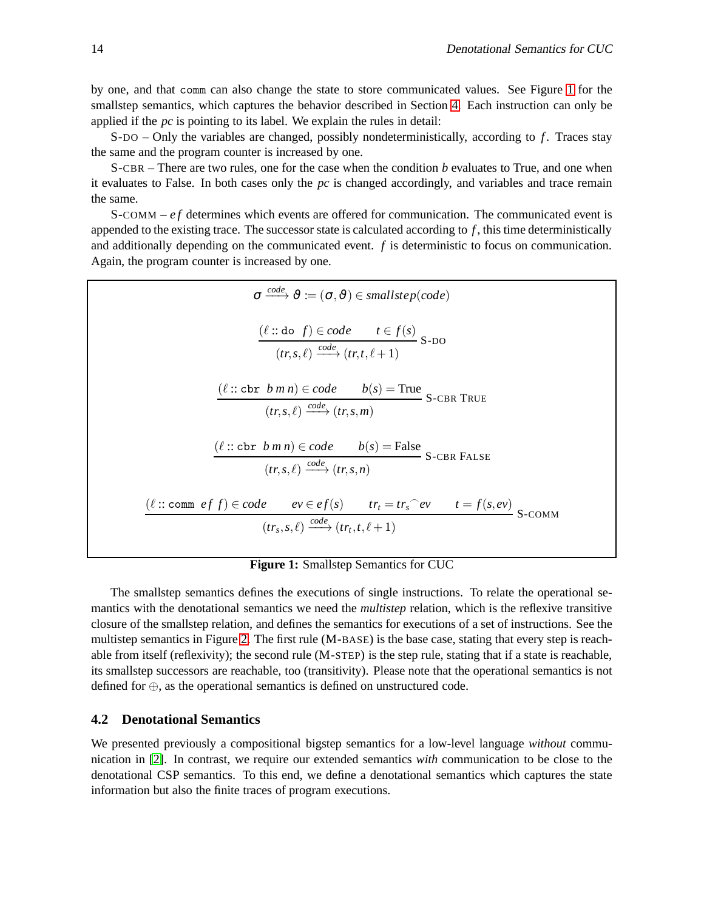by one, and that comm can also change the state to store communicated values. See Figure [1](#page-5-1) for the smallstep semantics, which captures the behavior described in Section [4.](#page-3-0) Each instruction can only be applied if the *pc* is pointing to its label. We explain the rules in detail:

S-DO – Only the variables are changed, possibly nondeterministically, according to *f* . Traces stay the same and the program counter is increased by one.

S-CBR – There are two rules, one for the case when the condition *b* evaluates to True, and one when it evaluates to False. In both cases only the *pc* is changed accordingly, and variables and trace remain the same.

S-COMM – *e f* determines which events are offered for communication. The communicated event is appended to the existing trace. The successor state is calculated according to *f* , this time deterministically and additionally depending on the communicated event. *f* is deterministic to focus on communication. Again, the program counter is increased by one.



## **Figure 1:** Smallstep Semantics for CUC

<span id="page-5-1"></span>The smallstep semantics defines the executions of single instructions. To relate the operational semantics with the denotational semantics we need the *multistep* relation, which is the reflexive transitive closure of the smallstep relation, and defines the semantics for executions of a set of instructions. See the multistep semantics in Figure [2.](#page-6-0) The first rule (M-BASE) is the base case, stating that every step is reachable from itself (reflexivity); the second rule (M-STEP) is the step rule, stating that if a state is reachable, its smallstep successors are reachable, too (transitivity). Please note that the operational semantics is not defined for ⊕, as the operational semantics is defined on unstructured code.

#### <span id="page-5-0"></span>**4.2 Denotational Semantics**

We presented previously a compositional bigstep semantics for a low-level language *without* communication in [\[2\]](#page-11-0). In contrast, we require our extended semantics *with* communication to be close to the denotational CSP semantics. To this end, we define a denotational semantics which captures the state information but also the finite traces of program executions.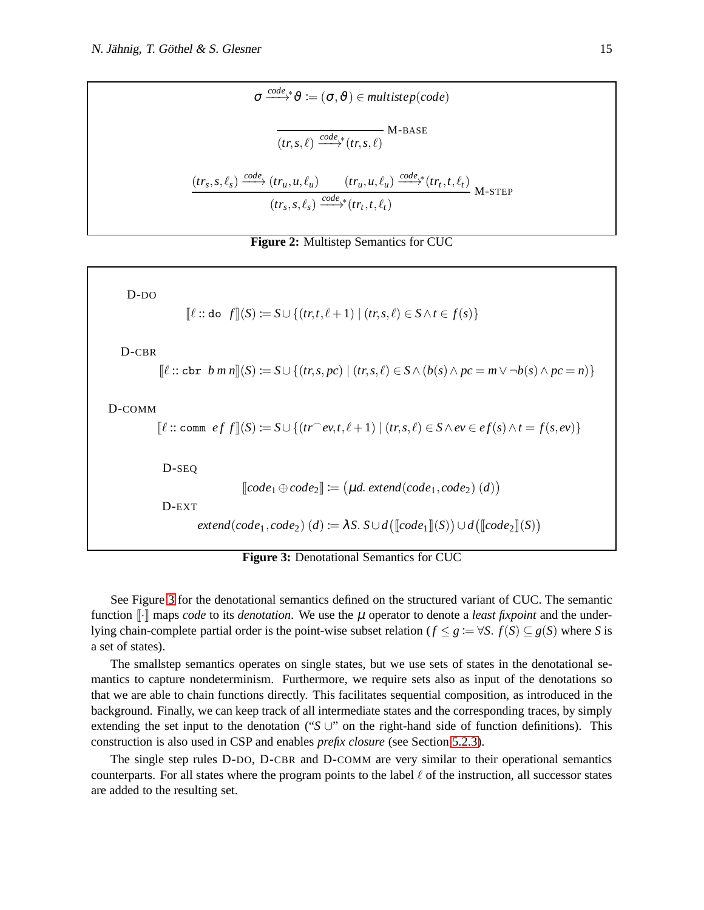$$
\sigma \xrightarrow{code,*} \vartheta := (\sigma, \vartheta) \in multistep(code)
$$
\n
$$
\overbrace{(tr,s,\ell) \xrightarrow{code*} (tr,s,\ell)}^{M\text{-BASE}} \text{M-BASE}
$$
\n
$$
\underbrace{(tr_s,s,\ell_s) \xrightarrow{code*} (tr_u,u,\ell_u) \quad (tr_u,u,\ell_u) \xrightarrow{code*} (tr_t,t,\ell_t)}_{(tr_s,s,\ell_s) \xrightarrow{code*} (tr_t,t,\ell_t)} \text{M-s{}TEP}
$$



<span id="page-6-0"></span>D-DO  $\llbracket \ell : \text{do } f \rrbracket(S) := S \cup \{ (tr, t, \ell + 1) \mid (tr, s, \ell) \in S \land t \in f(s) \}$ D-CBR  $\llbracket \ell :: \text{cbr } b \ m \ n \rrbracket(S) := S \cup \{ (tr, s, pc) \mid (tr, s, \ell) \in S \land (b(s) \land pc = m \lor \neg b(s) \land pc = n) \}$ D-COMM  $[ℓ:: comm \space cf \space f](S) := S \cup \{(tr^\frown ev, t, \ell+1) \mid (tr, s, \ell) \in S \land ev \in ef(s) \land t = f(s, ev)\}$ D-SEQ  $\llbracket code_1 \oplus code_2 \rrbracket \coloneqq (\mu d. \text{ extend}(code_1, code_2) (d))$ D-EXT  $extend(code_1, code_2)$   $(d) \coloneqq \lambda S$ .  $S \cup d(\llbracket code_1 \rrbracket(S)) \cup d(\llbracket code_2 \rrbracket(S))$ 

**Figure 3:** Denotational Semantics for CUC

<span id="page-6-1"></span>See Figure [3](#page-6-1) for the denotational semantics defined on the structured variant of CUC. The semantic function  $\lVert \cdot \rVert$  maps *code* to its *denotation*. We use the  $\mu$  operator to denote a *least fixpoint* and the underlying chain-complete partial order is the point-wise subset relation ( $f \leq g := \forall S$ .  $f(S) \subseteq g(S)$  where *S* is a set of states).

The smallstep semantics operates on single states, but we use sets of states in the denotational semantics to capture nondeterminism. Furthermore, we require sets also as input of the denotations so that we are able to chain functions directly. This facilitates sequential composition, as introduced in the background. Finally, we can keep track of all intermediate states and the corresponding traces, by simply extending the set input to the denotation ("*S* ∪" on the right-hand side of function definitions). This construction is also used in CSP and enables *prefix closure* (see Section [5.2.3\)](#page-8-0).

The single step rules D-DO, D-CBR and D-COMM are very similar to their operational semantics counterparts. For all states where the program points to the label  $\ell$  of the instruction, all successor states are added to the resulting set.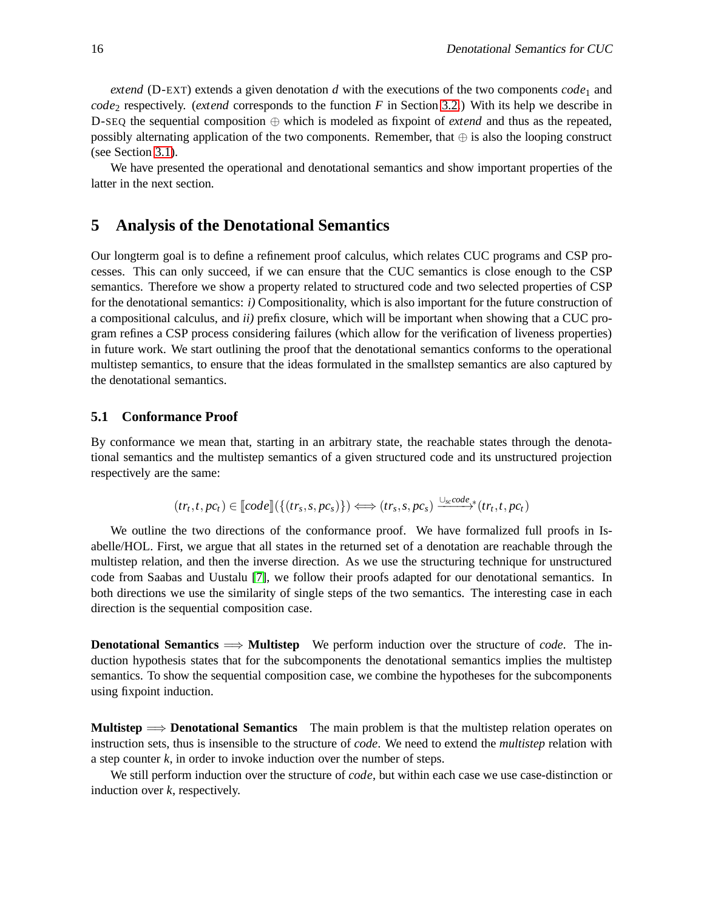*extend* (D-EXT) extends a given denotation *d* with the executions of the two components  $code_1$  and *code*<sub>2</sub> respectively. (*extend* corresponds to the function *F* in Section [3.2.](#page-3-1)) With its help we describe in D-SEQ the sequential composition ⊕ which is modeled as fixpoint of *extend* and thus as the repeated, possibly alternating application of the two components. Remember, that  $\oplus$  is also the looping construct (see Section [3.1\)](#page-2-1).

We have presented the operational and denotational semantics and show important properties of the latter in the next section.

## <span id="page-7-0"></span>**5 Analysis of the Denotational Semantics**

Our longterm goal is to define a refinement proof calculus, which relates CUC programs and CSP processes. This can only succeed, if we can ensure that the CUC semantics is close enough to the CSP semantics. Therefore we show a property related to structured code and two selected properties of CSP for the denotational semantics: *i)* Compositionality, which is also important for the future construction of a compositional calculus, and *ii)* prefix closure, which will be important when showing that a CUC program refines a CSP process considering failures (which allow for the verification of liveness properties) in future work. We start outlining the proof that the denotational semantics conforms to the operational multistep semantics, to ensure that the ideas formulated in the smallstep semantics are also captured by the denotational semantics.

## <span id="page-7-1"></span>**5.1 Conformance Proof**

By conformance we mean that, starting in an arbitrary state, the reachable states through the denotational semantics and the multistep semantics of a given structured code and its unstructured projection respectively are the same:

$$
(tr_t, t, pc_t) \in [code] (\{(tr_s, s, pc_s)\}) \Longleftrightarrow (tr_s, s, pc_s) \xrightarrow{\cup_{sc} code} (tr_t, t, pc_t)
$$

We outline the two directions of the conformance proof. We have formalized full proofs in Isabelle/HOL. First, we argue that all states in the returned set of a denotation are reachable through the multistep relation, and then the inverse direction. As we use the structuring technique for unstructured code from Saabas and Uustalu [\[7\]](#page-12-1), we follow their proofs adapted for our denotational semantics. In both directions we use the similarity of single steps of the two semantics. The interesting case in each direction is the sequential composition case.

**Denotational Semantics** =⇒ **Multistep** We perform induction over the structure of *code*. The induction hypothesis states that for the subcomponents the denotational semantics implies the multistep semantics. To show the sequential composition case, we combine the hypotheses for the subcomponents using fixpoint induction.

**Multistep** =⇒ **Denotational Semantics** The main problem is that the multistep relation operates on instruction sets, thus is insensible to the structure of *code*. We need to extend the *multistep* relation with a step counter *k*, in order to invoke induction over the number of steps.

We still perform induction over the structure of *code*, but within each case we use case-distinction or induction over *k*, respectively.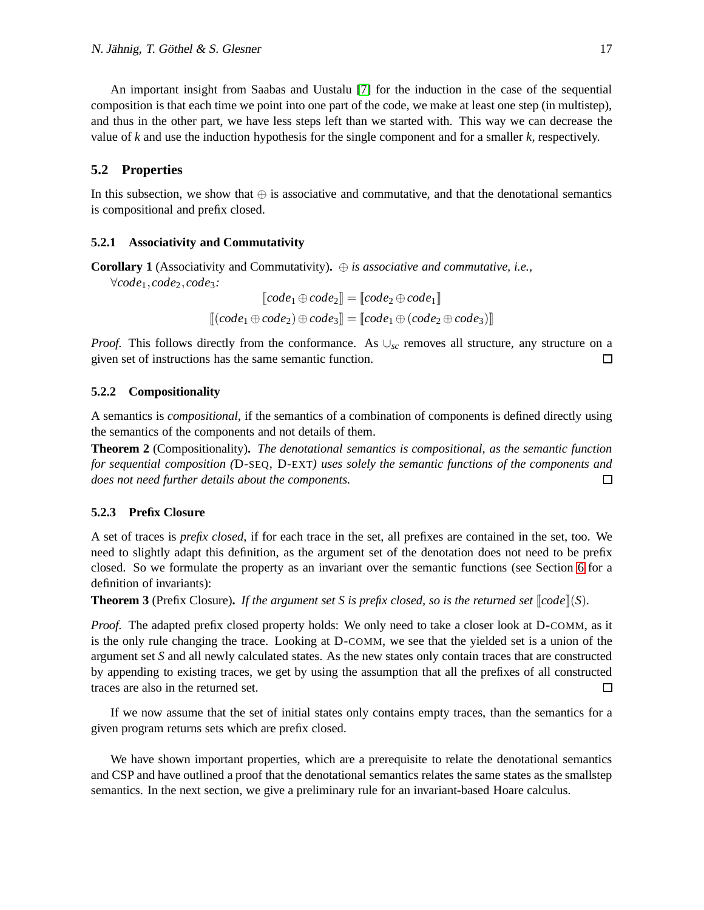An important insight from Saabas and Uustalu [\[7\]](#page-12-1) for the induction in the case of the sequential composition is that each time we point into one part of the code, we make at least one step (in multistep), and thus in the other part, we have less steps left than we started with. This way we can decrease the value of *k* and use the induction hypothesis for the single component and for a smaller *k*, respectively.

### **5.2 Properties**

In this subsection, we show that ⊕ is associative and commutative, and that the denotational semantics is compositional and prefix closed.

#### **5.2.1 Associativity and Commutativity**

**Corollary 1** (Associativity and Commutativity)**.** ⊕ *is associative and commutative, i.e.,*

∀*code*1,*code*2,*code*3*:*

$$
\llbracket code_1 \oplus code_2 \rrbracket = \llbracket code_2 \oplus code_1 \rrbracket
$$

$$
\llbracket (code_1 \oplus code_2) \oplus code_3 \rrbracket = \llbracket code_1 \oplus (code_2 \oplus code_3) \rrbracket
$$

*Proof.* This follows directly from the conformance. As ∪<sub>sc</sub> removes all structure, any structure on a given set of instructions has the same semantic function. □

#### **5.2.2 Compositionality**

A semantics is *compositional*, if the semantics of a combination of components is defined directly using the semantics of the components and not details of them.

**Theorem 2** (Compositionality)**.** *The denotational semantics is compositional, as the semantic function for sequential composition (*D-SEQ, D-EXT*) uses solely the semantic functions of the components and does not need further details about the components.* □

#### <span id="page-8-0"></span>**5.2.3 Prefix Closure**

A set of traces is *prefix closed*, if for each trace in the set, all prefixes are contained in the set, too. We need to slightly adapt this definition, as the argument set of the denotation does not need to be prefix closed. So we formulate the property as an invariant over the semantic functions (see Section [6](#page-9-0) for a definition of invariants):

**Theorem 3** (Prefix Closure). If the argument set S is prefix closed, so is the returned set  $\llbracket code \rrbracket(S)$ .

*Proof.* The adapted prefix closed property holds: We only need to take a closer look at D-COMM, as it is the only rule changing the trace. Looking at D-COMM, we see that the yielded set is a union of the argument set *S* and all newly calculated states. As the new states only contain traces that are constructed by appending to existing traces, we get by using the assumption that all the prefixes of all constructed traces are also in the returned set.  $\Box$ 

If we now assume that the set of initial states only contains empty traces, than the semantics for a given program returns sets which are prefix closed.

We have shown important properties, which are a prerequisite to relate the denotational semantics and CSP and have outlined a proof that the denotational semantics relates the same states as the smallstep semantics. In the next section, we give a preliminary rule for an invariant-based Hoare calculus.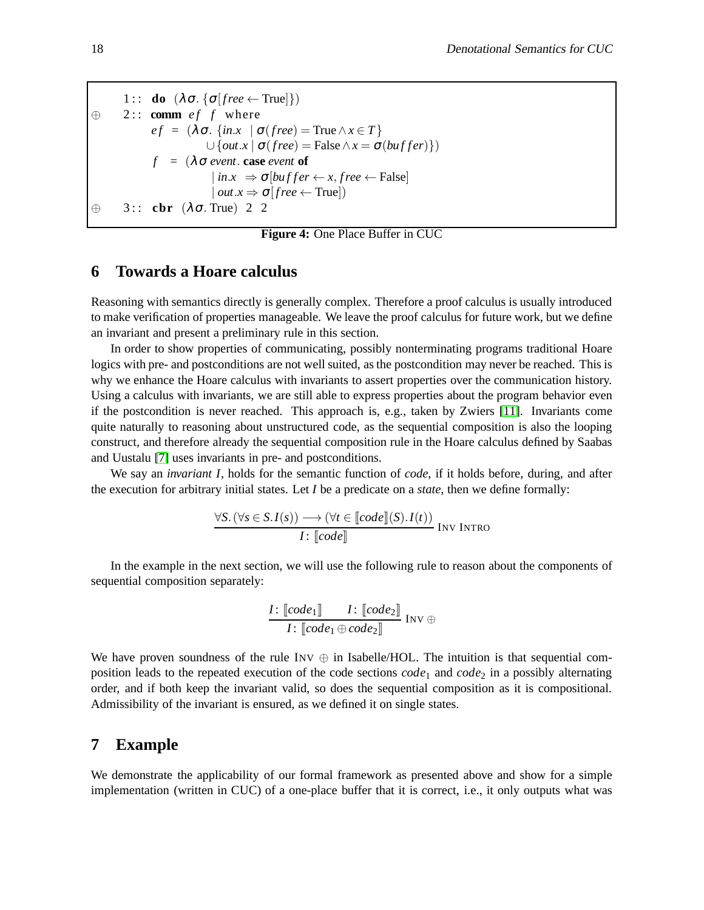1 :: **do**  $(\lambda \sigma. \{\sigma \text{[free \leftarrow True]}\})$  $\oplus$  2:: **comm** *ef f* where  $ef = (\lambda \sigma, \{in.x \mid \sigma (free) = \text{True} \land x \in T\})$  $\cup$  {*out*.*x* |  $\sigma$ (*free*) = False  $\land$  *x* =  $\sigma$ (*buffer*)})  $f = (\lambda \sigma \text{ event} \cdot \text{ case event})$  $| \textit{in.x } \Rightarrow \sigma[\textit{buffer} \leftarrow x, \textit{free} \leftarrow \text{False} ]$  $\langle \mathit{out}.x \Rightarrow \sigma[\mathit{free} \leftarrow \text{True}]$ ⊕ 3 : : **cbr** (λσ. True) 2 2

**Figure 4:** One Place Buffer in CUC

## <span id="page-9-2"></span><span id="page-9-0"></span>**6 Towards a Hoare calculus**

Reasoning with semantics directly is generally complex. Therefore a proof calculus is usually introduced to make verification of properties manageable. We leave the proof calculus for future work, but we define an invariant and present a preliminary rule in this section.

In order to show properties of communicating, possibly nonterminating programs traditional Hoare logics with pre- and postconditions are not well suited, as the postcondition may never be reached. This is why we enhance the Hoare calculus with invariants to assert properties over the communication history. Using a calculus with invariants, we are still able to express properties about the program behavior even if the postcondition is never reached. This approach is, e.g., taken by Zwiers [\[11\]](#page-12-6). Invariants come quite naturally to reasoning about unstructured code, as the sequential composition is also the looping construct, and therefore already the sequential composition rule in the Hoare calculus defined by Saabas and Uustalu [\[7\]](#page-12-1) uses invariants in pre- and postconditions.

We say an *invariant I*, holds for the semantic function of *code*, if it holds before, during, and after the execution for arbitrary initial states. Let *I* be a predicate on a *state*, then we define formally:

$$
\frac{\forall S. (\forall s \in S. I(s)) \longrightarrow (\forall t \in [code](S). I(t))}{I: [code]]}
$$
INV INTRO

In the example in the next section, we will use the following rule to reason about the components of sequential composition separately:

$$
\frac{I\colon \llbracket code_1 \rrbracket \qquad I\colon \llbracket code_2 \rrbracket}{I\colon \llbracket code_1 \oplus code_2 \rrbracket} \text{ Inv } \oplus
$$

We have proven soundness of the rule  $INV \oplus in Isabelle/HOL$ . The intuition is that sequential composition leads to the repeated execution of the code sections *code*<sub>1</sub> and *code*<sub>2</sub> in a possibly alternating order, and if both keep the invariant valid, so does the sequential composition as it is compositional. Admissibility of the invariant is ensured, as we defined it on single states.

## <span id="page-9-1"></span>**7 Example**

We demonstrate the applicability of our formal framework as presented above and show for a simple implementation (written in CUC) of a one-place buffer that it is correct, i.e., it only outputs what was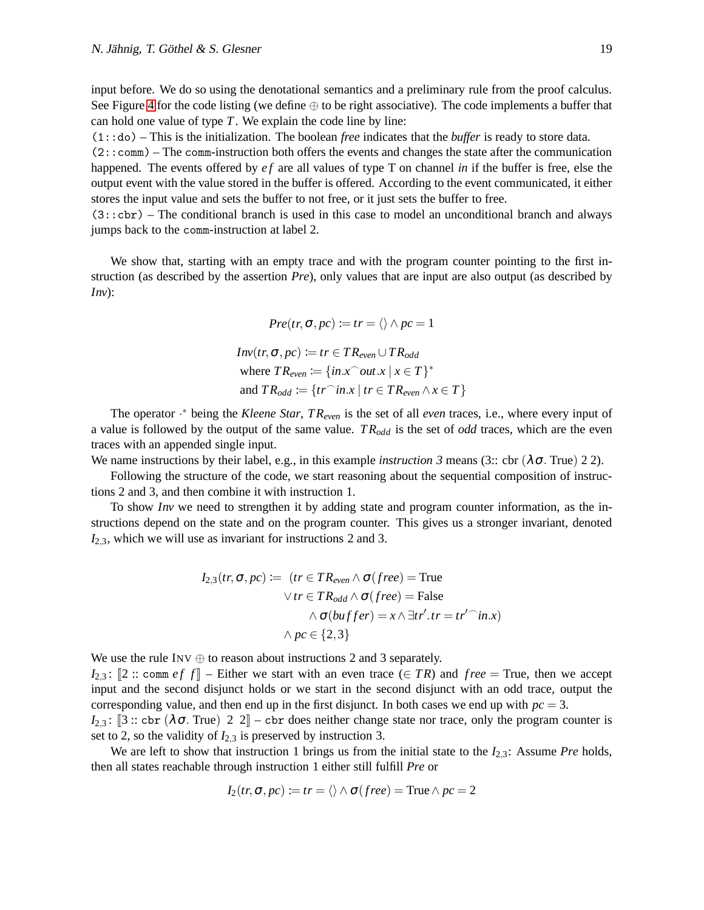input before. We do so using the denotational semantics and a preliminary rule from the proof calculus. See Figure [4](#page-9-2) for the code listing (we define  $\oplus$  to be right associative). The code implements a buffer that can hold one value of type *T*. We explain the code line by line:

(1::do) – This is the initialization. The boolean *free* indicates that the *buffer* is ready to store data.

(2::comm) – The comm-instruction both offers the events and changes the state after the communication happened. The events offered by *ef* are all values of type T on channel *in* if the buffer is free, else the output event with the value stored in the buffer is offered. According to the event communicated, it either stores the input value and sets the buffer to not free, or it just sets the buffer to free.

(3::cbr) – The conditional branch is used in this case to model an unconditional branch and always jumps back to the comm-instruction at label 2.

We show that, starting with an empty trace and with the program counter pointing to the first instruction (as described by the assertion *Pre*), only values that are input are also output (as described by *Inv*):

$$
Pre(tr, \sigma, pc) := tr = \langle \rangle \wedge pc = 1
$$
  

$$
Inv(tr, \sigma, pc) := tr \in TR_{even} \cup TR_{odd}
$$
  
where  $TR_{even} := \{in.x \cap out.x \mid x \in T\}^*$   
and  $TR_{odd} := \{tr \cap in.x \mid tr \in TR_{even} \wedge x \in T\}$ 

The operator · <sup>∗</sup> being the *Kleene Star*, *T Reven* is the set of all *even* traces, i.e., where every input of a value is followed by the output of the same value. *T Rodd* is the set of *odd* traces, which are the even traces with an appended single input.

We name instructions by their label, e.g., in this example *instruction 3* means (3:: cbr ( $\lambda \sigma$ . True) 2 2).

Following the structure of the code, we start reasoning about the sequential composition of instructions 2 and 3, and then combine it with instruction 1.

To show *Inv* we need to strengthen it by adding state and program counter information, as the instructions depend on the state and on the program counter. This gives us a stronger invariant, denoted *I*2,3, which we will use as invariant for instructions 2 and 3.

$$
I_{2,3}(tr, \sigma, pc) := (tr \in TR_{even} \land \sigma(free) = True
$$
  
 
$$
\lor tr \in TR_{odd} \land \sigma(free) = False
$$
  
 
$$
\land \sigma(buffer) = x \land \exists tr'.tr = tr' \hat{m}.x)
$$
  
 
$$
\land pc \in \{2, 3\}
$$

We use the rule INV  $\oplus$  to reason about instructions 2 and 3 separately.

 $I_{2,3}$ :  $[2::\text{comm }ef f]$  – Either we start with an even trace  $(\in TR)$  and *free* = True, then we accept input and the second disjunct holds or we start in the second disjunct with an odd trace, output the corresponding value, and then end up in the first disjunct. In both cases we end up with  $pc = 3$ .

 $I_{2,3}$ : [3 :: cbr ( $\lambda \sigma$ . True) 2 2] – cbr does neither change state nor trace, only the program counter is set to 2, so the validity of  $I_{2,3}$  is preserved by instruction 3.

We are left to show that instruction 1 brings us from the initial state to the *I*2,3: Assume *Pre* holds, then all states reachable through instruction 1 either still fulfill *Pre* or

$$
I_2(tr, \sigma, pc) \coloneqq tr = \langle \rangle \wedge \sigma (free) = \text{True} \wedge pc = 2
$$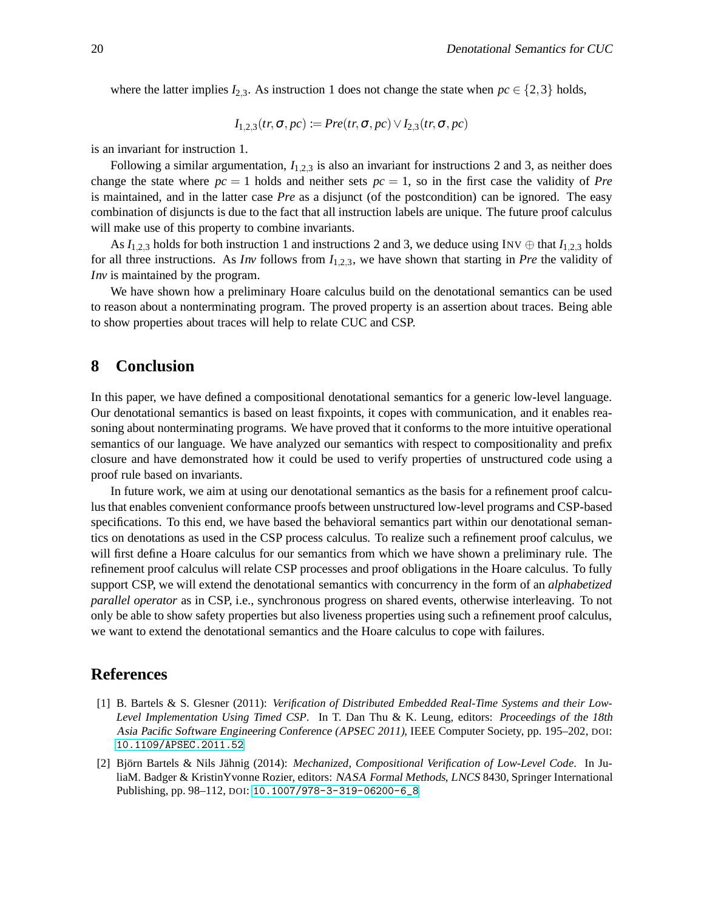where the latter implies  $I_{2,3}$ . As instruction 1 does not change the state when  $pc \in \{2,3\}$  holds,

$$
I_{1,2,3}(tr, \sigma, pc) \coloneqq Pre(tr, \sigma, pc) \vee I_{2,3}(tr, \sigma, pc)
$$

is an invariant for instruction 1.

Following a similar argumentation,  $I_{1,2,3}$  is also an invariant for instructions 2 and 3, as neither does change the state where  $pc = 1$  holds and neither sets  $pc = 1$ , so in the first case the validity of *Pre* is maintained, and in the latter case *Pre* as a disjunct (of the postcondition) can be ignored. The easy combination of disjuncts is due to the fact that all instruction labels are unique. The future proof calculus will make use of this property to combine invariants.

As  $I_{1,2,3}$  holds for both instruction 1 and instructions 2 and 3, we deduce using INV  $\oplus$  that  $I_{1,2,3}$  holds for all three instructions. As *Inv* follows from *I*1,2,3, we have shown that starting in *Pre* the validity of *Inv* is maintained by the program.

We have shown how a preliminary Hoare calculus build on the denotational semantics can be used to reason about a nonterminating program. The proved property is an assertion about traces. Being able to show properties about traces will help to relate CUC and CSP.

## <span id="page-11-1"></span>**8 Conclusion**

In this paper, we have defined a compositional denotational semantics for a generic low-level language. Our denotational semantics is based on least fixpoints, it copes with communication, and it enables reasoning about nonterminating programs. We have proved that it conforms to the more intuitive operational semantics of our language. We have analyzed our semantics with respect to compositionality and prefix closure and have demonstrated how it could be used to verify properties of unstructured code using a proof rule based on invariants.

In future work, we aim at using our denotational semantics as the basis for a refinement proof calculus that enables convenient conformance proofs between unstructured low-level programs and CSP-based specifications. To this end, we have based the behavioral semantics part within our denotational semantics on denotations as used in the CSP process calculus. To realize such a refinement proof calculus, we will first define a Hoare calculus for our semantics from which we have shown a preliminary rule. The refinement proof calculus will relate CSP processes and proof obligations in the Hoare calculus. To fully support CSP, we will extend the denotational semantics with concurrency in the form of an *alphabetized parallel operator* as in CSP, i.e., synchronous progress on shared events, otherwise interleaving. To not only be able to show safety properties but also liveness properties using such a refinement proof calculus, we want to extend the denotational semantics and the Hoare calculus to cope with failures.

## **References**

- <span id="page-11-2"></span>[1] B. Bartels & S. Glesner (2011): *Verification of Distributed Embedded Real-Time Systems and their Low-Level Implementation Using Timed CSP*. In T. Dan Thu & K. Leung, editors: Proceedings of the 18th Asia Pacific Software Engineering Conference (APSEC 2011), IEEE Computer Society, pp. 195–202, DOI: [10.1109/APSEC.2011.52](http://dx.doi.org/10.1109/APSEC.2011.52).
- <span id="page-11-0"></span>[2] Björn Bartels & Nils Jähnig (2014): *Mechanized, Compositional Verification of Low-Level Code*. In JuliaM. Badger & KristinYvonne Rozier, editors: NASA Formal Methods, LNCS 8430, Springer International Publishing, pp. 98–112, DOI: [10.1007/978-3-319-06200-6\\_8](http://dx.doi.org/10.1007/978-3-319-06200-6_8).